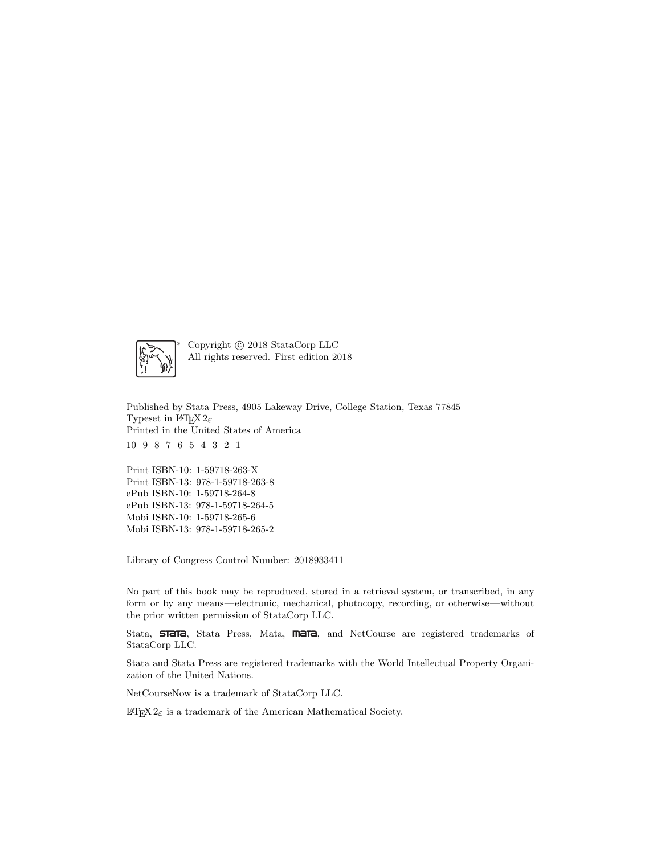

Copyright © 2018 StataCorp LLC All rights reserved. First edition 2018

Published by Stata Press, 4905 Lakeway Drive, College Station, Texas 77845 Typeset in  $\mathbb{F}$ FFX  $2\varepsilon$ Printed in the United States of America 10 9 8 7 6 5 4 3 2 1

Print ISBN-10: 1-59718-263-X Print ISBN-13: 978-1-59718-263-8 ePub ISBN-10: 1-59718-264-8 ePub ISBN-13: 978-1-59718-264-5 Mobi ISBN-10: 1-59718-265-6

Mobi ISBN-13: 978-1-59718-265-2

Library of Congress Control Number: 2018933411

No part of this book may be reproduced, stored in a retrieval system, or transcribed, in any form or by any means—electronic, mechanical, photocopy, recording, or otherwise—without the prior written permission of StataCorp LLC.

Stata, **STata**, Stata Press, Mata, **mata**, and NetCourse are registered trademarks of StataCorp LLC.

Stata and Stata Press are registered trademarks with the World Intellectual Property Organization of the United Nations.

NetCourseNow is a trademark of StataCorp LLC.

 $\mathbb{F}\to \mathbb{F}$ 2 $\varepsilon$  is a trademark of the American Mathematical Society.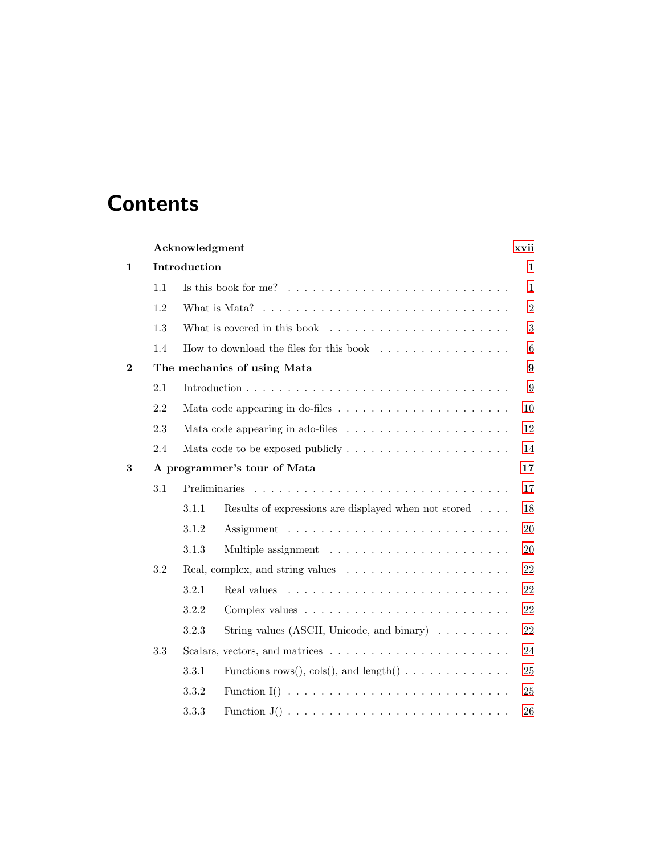# **Contents**

|              |         | Acknowledgment |                                                                                       | xvii           |
|--------------|---------|----------------|---------------------------------------------------------------------------------------|----------------|
| $\mathbf 1$  |         | Introduction   |                                                                                       | $\mathbf{1}$   |
|              | 1.1     |                | Is this book for me? $\ldots \ldots \ldots \ldots \ldots \ldots \ldots \ldots \ldots$ | $\mathbf 1$    |
|              | $1.2\,$ |                | What is Mata? $\ldots \ldots \ldots \ldots \ldots \ldots \ldots \ldots \ldots \ldots$ | $\overline{2}$ |
|              | 1.3     |                | What is covered in this book $\dots \dots \dots \dots \dots \dots \dots \dots$        | 3              |
|              | 1.4     |                | How to download the files for this book $\ldots \ldots \ldots \ldots \ldots$          | 6              |
| $\mathbf{2}$ |         |                | The mechanics of using Mata                                                           | 9              |
|              | 2.1     |                |                                                                                       | 9              |
|              | 2.2     |                | Mata code appearing in do-files $\ldots \ldots \ldots \ldots \ldots \ldots \ldots$    | 10             |
|              | 2.3     |                |                                                                                       | 12             |
|              | 2.4     |                | Mata code to be exposed publicly $\dots \dots \dots \dots \dots \dots \dots$          | 14             |
| 3            |         |                | A programmer's tour of Mata                                                           | 17             |
|              | 3.1     | Preliminaries  |                                                                                       | 17             |
|              |         | 3.1.1          | Results of expressions are displayed when not stored                                  | 18             |
|              |         | 3.1.2          |                                                                                       | 20             |
|              |         | 3.1.3          |                                                                                       | 20             |
|              | 3.2     |                | Real, complex, and string values $\dots \dots \dots \dots \dots \dots \dots$          | 22             |
|              |         | 3.2.1          |                                                                                       | 22             |
|              |         | 3.2.2          |                                                                                       | 22             |
|              |         | 3.2.3          | String values (ASCII, Unicode, and binary) $\dots \dots$                              | 22             |
|              | 3.3     |                |                                                                                       | 24             |
|              |         | 3.3.1          | Functions rows(), cols(), and length() $\dots \dots \dots \dots$                      | $25\,$         |
|              |         | 3.3.2          | Function I() $\ldots \ldots \ldots \ldots \ldots \ldots \ldots \ldots \ldots$         | $25\,$         |
|              |         | 3.3.3          |                                                                                       | 26             |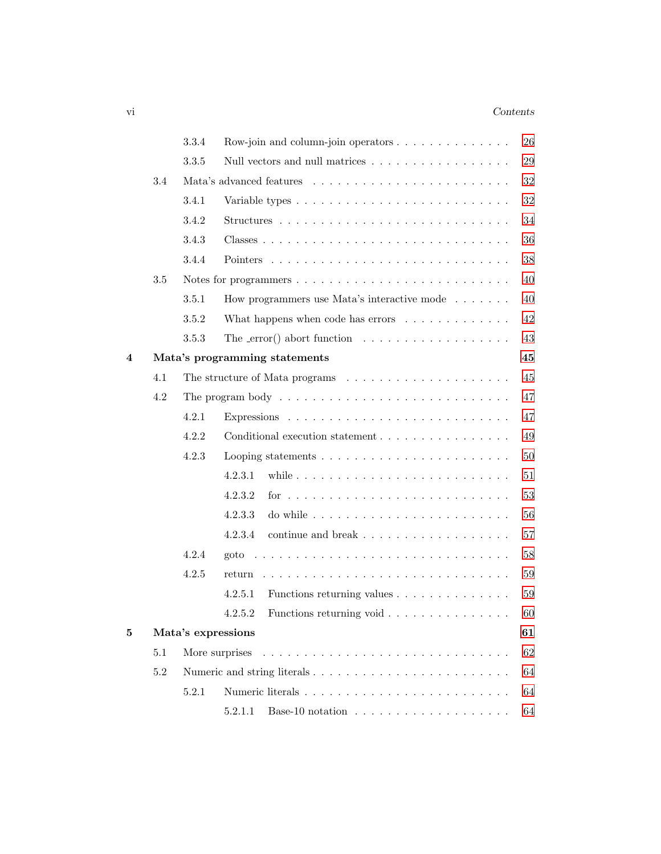### vi Contents

|   |         | 3.3.4 | Row-join and column-join operators $\ldots \ldots \ldots \ldots$                     | 26     |
|---|---------|-------|--------------------------------------------------------------------------------------|--------|
|   |         | 3.3.5 | Null vectors and null matrices $\dots \dots \dots \dots \dots \dots$                 | 29     |
|   | 3.4     |       |                                                                                      | $32\,$ |
|   |         | 3.4.1 |                                                                                      | $32\,$ |
|   |         | 3.4.2 |                                                                                      | 34     |
|   |         | 3.4.3 |                                                                                      | 36     |
|   |         | 3.4.4 |                                                                                      | 38     |
|   | 3.5     |       |                                                                                      | 40     |
|   |         | 3.5.1 | How programmers use Mata's interactive mode                                          | 40     |
|   |         | 3.5.2 | What happens when code has errors $\dots \dots \dots \dots$                          | 42     |
|   |         | 3.5.3 | The $\text{error}()$ abort function $\ldots \ldots \ldots \ldots \ldots \ldots$      | 43     |
| 4 |         |       | Mata's programming statements                                                        | 45     |
|   | 4.1     |       | The structure of Mata programs $\dots \dots \dots \dots \dots \dots \dots$           | 45     |
|   | 4.2     |       | The program body $\dots \dots \dots \dots \dots \dots \dots \dots \dots \dots \dots$ | 47     |
|   |         | 4.2.1 |                                                                                      | 47     |
|   |         | 4.2.2 | Conditional execution statement                                                      | 49     |
|   |         | 4.2.3 |                                                                                      | $50\,$ |
|   |         |       | 4.2.3.1                                                                              | $51\,$ |
|   |         |       | 4.2.3.2                                                                              | 53     |
|   |         |       | 4.2.3.3                                                                              | 56     |
|   |         |       | 4.2.3.4<br>continue and break                                                        | 57     |
|   |         | 4.2.4 |                                                                                      | 58     |
|   |         | 4.2.5 |                                                                                      | 59     |
|   |         |       | 4.2.5.1<br>Functions returning values                                                | 59     |
|   |         |       | Functions returning void<br>4.2.5.2                                                  | 60     |
| 5 |         |       | Mata's expressions                                                                   | 61     |
|   | 5.1     |       | More surprises                                                                       | 62     |
|   | $5.2\,$ |       |                                                                                      | 64     |
|   |         | 5.2.1 |                                                                                      | 64     |
|   |         |       | 5.2.1.1<br>Base-10 notation $\ldots \ldots \ldots \ldots \ldots \ldots$              | 64     |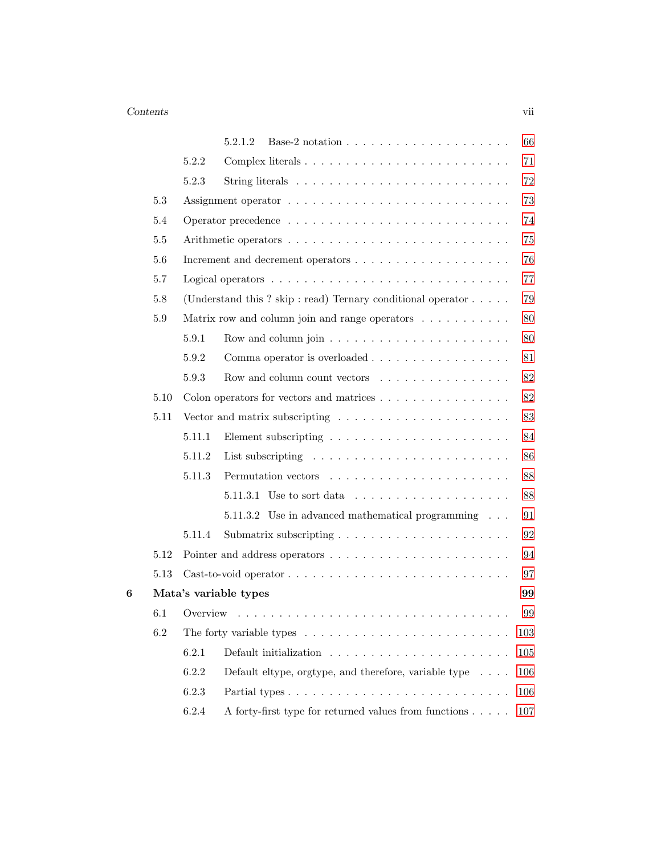#### Contents vii

|         |        | 5.2.1.2<br>Base-2 notation $\ldots \ldots \ldots \ldots \ldots \ldots \ldots$ | 66                                                                                                                                                                                                                                                                                                                                                                                                                                                                                                  |
|---------|--------|-------------------------------------------------------------------------------|-----------------------------------------------------------------------------------------------------------------------------------------------------------------------------------------------------------------------------------------------------------------------------------------------------------------------------------------------------------------------------------------------------------------------------------------------------------------------------------------------------|
|         | 5.2.2  |                                                                               | 71                                                                                                                                                                                                                                                                                                                                                                                                                                                                                                  |
|         | 5.2.3  |                                                                               | $72\,$                                                                                                                                                                                                                                                                                                                                                                                                                                                                                              |
| 5.3     |        |                                                                               | 73                                                                                                                                                                                                                                                                                                                                                                                                                                                                                                  |
| $5.4\,$ |        |                                                                               | 74                                                                                                                                                                                                                                                                                                                                                                                                                                                                                                  |
| 5.5     |        |                                                                               | 75                                                                                                                                                                                                                                                                                                                                                                                                                                                                                                  |
| 5.6     |        |                                                                               | 76                                                                                                                                                                                                                                                                                                                                                                                                                                                                                                  |
| 5.7     |        |                                                                               | 77                                                                                                                                                                                                                                                                                                                                                                                                                                                                                                  |
| 5.8     |        |                                                                               | 79                                                                                                                                                                                                                                                                                                                                                                                                                                                                                                  |
| $5.9\,$ |        |                                                                               | 80                                                                                                                                                                                                                                                                                                                                                                                                                                                                                                  |
|         | 5.9.1  |                                                                               | 80                                                                                                                                                                                                                                                                                                                                                                                                                                                                                                  |
|         | 5.9.2  | Comma operator is overloaded                                                  | 81                                                                                                                                                                                                                                                                                                                                                                                                                                                                                                  |
|         | 5.9.3  | Row and column count vectors $\dots \dots \dots \dots \dots$                  | 82                                                                                                                                                                                                                                                                                                                                                                                                                                                                                                  |
| 5.10    |        |                                                                               | $82\,$                                                                                                                                                                                                                                                                                                                                                                                                                                                                                              |
| $5.11$  |        |                                                                               | 83                                                                                                                                                                                                                                                                                                                                                                                                                                                                                                  |
|         | 5.11.1 |                                                                               | 84                                                                                                                                                                                                                                                                                                                                                                                                                                                                                                  |
|         | 5.11.2 |                                                                               | 86                                                                                                                                                                                                                                                                                                                                                                                                                                                                                                  |
|         | 5.11.3 |                                                                               | 88                                                                                                                                                                                                                                                                                                                                                                                                                                                                                                  |
|         |        | 5.11.3.1 Use to sort data $\ldots \ldots \ldots \ldots \ldots \ldots$         | 88                                                                                                                                                                                                                                                                                                                                                                                                                                                                                                  |
|         |        | 5.11.3.2 Use in advanced mathematical programming $\ldots$                    | 91                                                                                                                                                                                                                                                                                                                                                                                                                                                                                                  |
|         | 5.11.4 |                                                                               | 92                                                                                                                                                                                                                                                                                                                                                                                                                                                                                                  |
| 5.12    |        |                                                                               | 94                                                                                                                                                                                                                                                                                                                                                                                                                                                                                                  |
| 5.13    |        |                                                                               | 97                                                                                                                                                                                                                                                                                                                                                                                                                                                                                                  |
|         |        |                                                                               | 99                                                                                                                                                                                                                                                                                                                                                                                                                                                                                                  |
| 6.1     |        |                                                                               | 99                                                                                                                                                                                                                                                                                                                                                                                                                                                                                                  |
| 6.2     |        |                                                                               | 103                                                                                                                                                                                                                                                                                                                                                                                                                                                                                                 |
|         | 6.2.1  | Default initialization $\ldots \ldots \ldots \ldots \ldots \ldots \ldots$     | 105                                                                                                                                                                                                                                                                                                                                                                                                                                                                                                 |
|         | 6.2.2  | Default eltype, orgtype, and therefore, variable type $\ldots$ .              | 106                                                                                                                                                                                                                                                                                                                                                                                                                                                                                                 |
|         | 6.2.3  |                                                                               | 106                                                                                                                                                                                                                                                                                                                                                                                                                                                                                                 |
|         | 6.2.4  | A forty-first type for returned values from functions $\ldots$ .              | 107                                                                                                                                                                                                                                                                                                                                                                                                                                                                                                 |
|         |        |                                                                               | Logical operators $\dots \dots \dots \dots \dots \dots \dots \dots \dots \dots \dots$<br>(Understand this ? skip : read) Ternary conditional operator<br>Matrix row and column join and range operators<br>Colon operators for vectors and matrices $\dots \dots \dots \dots \dots$<br>Cast-to-void operator $\dots \dots \dots \dots \dots \dots \dots \dots \dots \dots \dots$<br>Mata's variable types<br>The forty variable types $\dots \dots \dots \dots \dots \dots \dots \dots \dots \dots$ |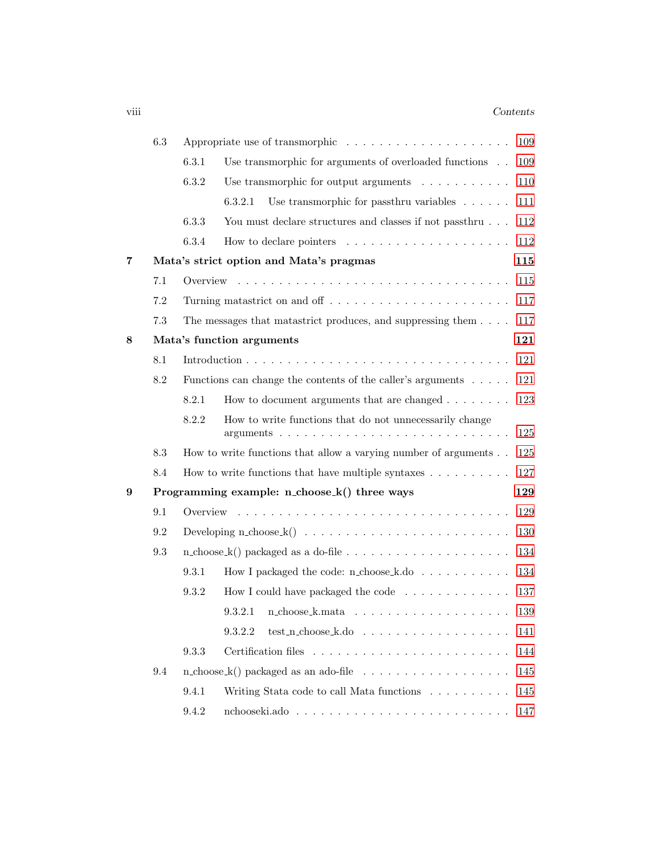#### viii Contents

|   | 6.3     |          | Appropriate use of transmorphic $\ldots \ldots \ldots \ldots \ldots \ldots$                    | 109 |
|---|---------|----------|------------------------------------------------------------------------------------------------|-----|
|   |         | 6.3.1    | Use transmorphic for arguments of overloaded functions                                         | 109 |
|   |         | 6.3.2    | Use transmorphic for output arguments $\ldots \ldots \ldots$                                   | 110 |
|   |         |          | Use transmorphic for passthru variables $\ldots \ldots$<br>6.3.2.1                             | 111 |
|   |         | 6.3.3    | You must declare structures and classes if not pass<br>thru $\ldots$ .                         | 112 |
|   |         | 6.3.4    |                                                                                                | 112 |
| 7 |         |          | Mata's strict option and Mata's pragmas                                                        | 115 |
|   | 7.1     |          |                                                                                                | 115 |
|   | 7.2     |          |                                                                                                | 117 |
|   | $7.3\,$ |          | The messages that matastrict produces, and suppressing them $\dots$ .                          | 117 |
| 8 |         |          | Mata's function arguments                                                                      | 121 |
|   | 8.1     |          |                                                                                                | 121 |
|   | 8.2     |          | Functions can change the contents of the caller's arguments $\dots$ .                          | 121 |
|   |         | 8.2.1    | How to document arguments that are changed                                                     | 123 |
|   |         | 8.2.2    | How to write functions that do not unnecessarily change<br>arguments                           | 125 |
|   | 8.3     |          | How to write functions that allow a varying number of arguments                                | 125 |
|   | 8.4     |          | How to write functions that have multiple syntaxes $\dots \dots \dots$                         | 127 |
| 9 |         |          | Programming example: $n$ -choose <sub>-k</sub> () three ways                                   | 129 |
|   | 9.1     | Overview |                                                                                                | 129 |
|   | 9.2     |          |                                                                                                | 130 |
|   | 9.3     |          | $n\text{-choose-k}()$ packaged as a do-file $\ldots \ldots \ldots \ldots \ldots \ldots \ldots$ | 134 |
|   |         | 9.3.1    | How I packaged the code: $n$ -choose-k.do $\ldots \ldots \ldots$                               | 134 |
|   |         | 9.3.2    | How I could have packaged the code $\dots \dots \dots \dots$                                   | 137 |
|   |         |          | 9.3.2.1<br>n_choose_k.mata $\ldots \ldots \ldots \ldots \ldots \ldots \ldots$                  | 139 |
|   |         |          | 9.3.2.2                                                                                        | 141 |
|   |         | 9.3.3    |                                                                                                | 144 |
|   | 9.4     |          | $n\text{-choose-k}()$ packaged as an ado-file $\ldots \ldots \ldots \ldots \ldots$             | 145 |
|   |         | 9.4.1    | Writing Stata code to call Mata functions                                                      | 145 |
|   |         | 9.4.2    |                                                                                                | 147 |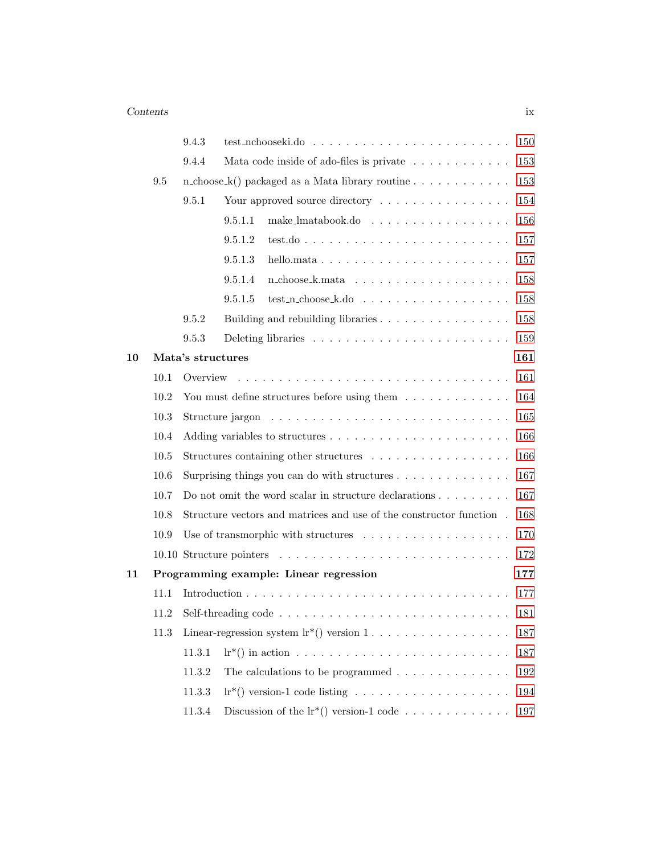|    |      | 9.4.3             |         | $test\_nchooseki.do \dots \dots \dots \dots \dots \dots \dots \dots \dots$               | 150     |
|----|------|-------------------|---------|------------------------------------------------------------------------------------------|---------|
|    |      | 9.4.4             |         | Mata code inside of ado-files is private                                                 | 153     |
|    | 9.5  |                   |         | n_choose_k() packaged as a Mata library routine $\ldots \ldots \ldots \ldots$            | 153     |
|    |      | 9.5.1             |         | Your approved source directory                                                           | 154     |
|    |      |                   | 9.5.1.1 | $make\_lmatabook.do \dots \dots \dots \dots \dots \dots \dots$                           | 156     |
|    |      |                   | 9.5.1.2 |                                                                                          | $157\,$ |
|    |      |                   | 9.5.1.3 |                                                                                          | 157     |
|    |      |                   | 9.5.1.4 |                                                                                          | 158     |
|    |      |                   | 9.5.1.5 | $test_n \n    choose_k \n    do \n     \n     \n     \n     \n     \n     \n     \n    $ | 158     |
|    |      | 9.5.2             |         | Building and rebuilding libraries                                                        | 158     |
|    |      | 9.5.3             |         |                                                                                          | 159     |
| 10 |      | Mata's structures |         |                                                                                          | 161     |
|    | 10.1 | Overview          |         |                                                                                          | 161     |
|    | 10.2 |                   |         | You must define structures before using them $\dots \dots \dots \dots$                   | 164     |
|    | 10.3 |                   |         |                                                                                          | 165     |
|    | 10.4 |                   |         |                                                                                          | 166     |
|    | 10.5 |                   |         | Structures containing other structures                                                   | 166     |
|    | 10.6 |                   |         | Surprising things you can do with structures $\dots \dots \dots \dots$                   | 167     |
|    | 10.7 |                   |         | Do not omit the word scalar in structure declarations $\dots \dots \dots$                | 167     |
|    | 10.8 |                   |         | Structure vectors and matrices and use of the constructor function<br>$\,$ .             | 168     |
|    | 10.9 |                   |         | Use of transmorphic with structures $\dots \dots \dots \dots \dots \dots$                | 170     |
|    |      |                   |         |                                                                                          | 172     |
| 11 |      |                   |         | Programming example: Linear regression                                                   | 177     |
|    | 11.1 |                   |         |                                                                                          | 177     |
|    | 11.2 |                   |         | Self-threading code $\ldots \ldots \ldots \ldots \ldots \ldots \ldots \ldots \ldots$     | 181     |
|    | 11.3 |                   |         | Linear-regression system $\text{lr}^*($ version 1                                        | 187     |
|    |      | 11.3.1            |         |                                                                                          | 187     |
|    |      | 11.3.2            |         | The calculations to be programmed $\ldots \ldots \ldots \ldots$                          | 192     |
|    |      | 11.3.3            |         | $\text{lr}^*($ version-1 code listing                                                    | 194     |
|    |      | 11.3.4            |         | Discussion of the $\text{lr}^*($ version-1 code                                          | 197     |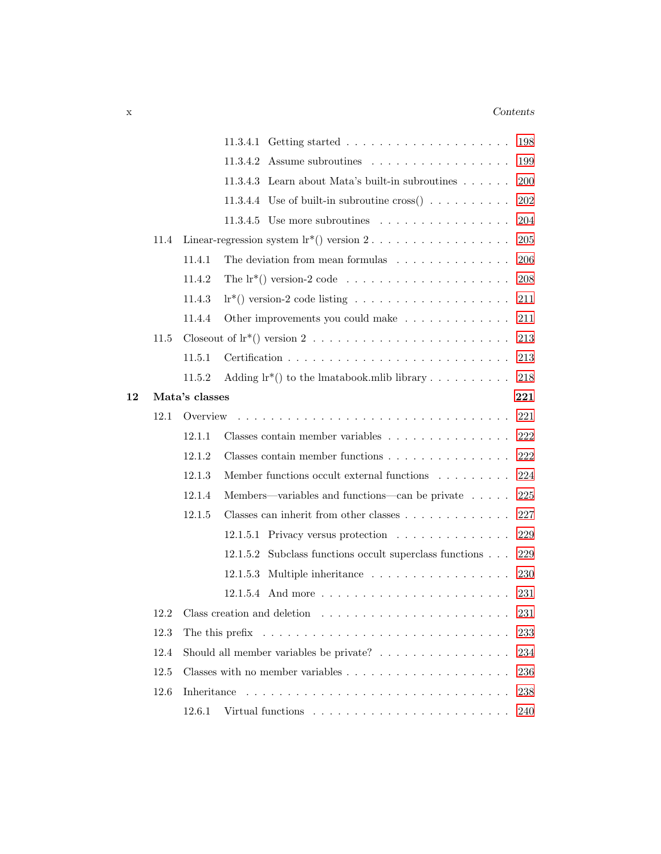### x Contents

|    |      |                | 11.3.4.1 Getting started $\ldots \ldots \ldots \ldots \ldots \ldots \ldots$                       | 198 |
|----|------|----------------|---------------------------------------------------------------------------------------------------|-----|
|    |      |                |                                                                                                   | 199 |
|    |      |                | 11.3.4.3 Learn about Mata's built-in subroutines $\ldots \ldots$                                  | 200 |
|    |      |                | 11.3.4.4 Use of built-in subroutine cross() $\ldots \ldots \ldots$                                | 202 |
|    |      |                |                                                                                                   | 204 |
|    | 11.4 |                | Linear-regression system $\mathrm{lr}^*($ ) version $2 \ldots \ldots \ldots \ldots \ldots \ldots$ | 205 |
|    |      | 11.4.1         | The deviation from mean formulas $\dots \dots \dots \dots$                                        | 206 |
|    |      | 11.4.2         |                                                                                                   | 208 |
|    |      | 11.4.3         |                                                                                                   | 211 |
|    |      | 11.4.4         | Other improvements you could make                                                                 | 211 |
|    | 11.5 |                |                                                                                                   | 213 |
|    |      | 11.5.1         |                                                                                                   | 213 |
|    |      | 11.5.2         | Adding $\text{lr}^*()$ to the lmatabook.mlib library                                              | 218 |
| 12 |      | Mata's classes |                                                                                                   | 221 |
|    | 12.1 | Overview       |                                                                                                   | 221 |
|    |      | 12.1.1         | Classes contain member variables                                                                  | 222 |
|    |      | 12.1.2         | Classes contain member functions                                                                  | 222 |
|    |      | 12.1.3         | Member functions occult external functions $\ldots \ldots \ldots$                                 | 224 |
|    |      | 12.1.4         | Members—variables and functions—can be private                                                    | 225 |
|    |      | 12.1.5         | Classes can inherit from other classes                                                            | 227 |
|    |      |                | 12.1.5.1 Privacy versus protection $\ldots \ldots \ldots \ldots$                                  | 229 |
|    |      |                | 12.1.5.2<br>Subclass functions occult superclass functions                                        | 229 |
|    |      |                | Multiple inheritance<br>12.1.5.3                                                                  | 230 |
|    |      |                |                                                                                                   | 231 |
|    | 12.2 |                |                                                                                                   | 231 |
|    | 12.3 |                | The this prefix $\ldots \ldots \ldots \ldots \ldots \ldots \ldots \ldots \ldots \ldots$           | 233 |
|    | 12.4 |                | Should all member variables be private? $\ldots \ldots \ldots \ldots \ldots$                      | 234 |
|    | 12.5 |                |                                                                                                   | 236 |
|    | 12.6 | Inheritance    |                                                                                                   | 238 |
|    |      | 12.6.1         |                                                                                                   | 240 |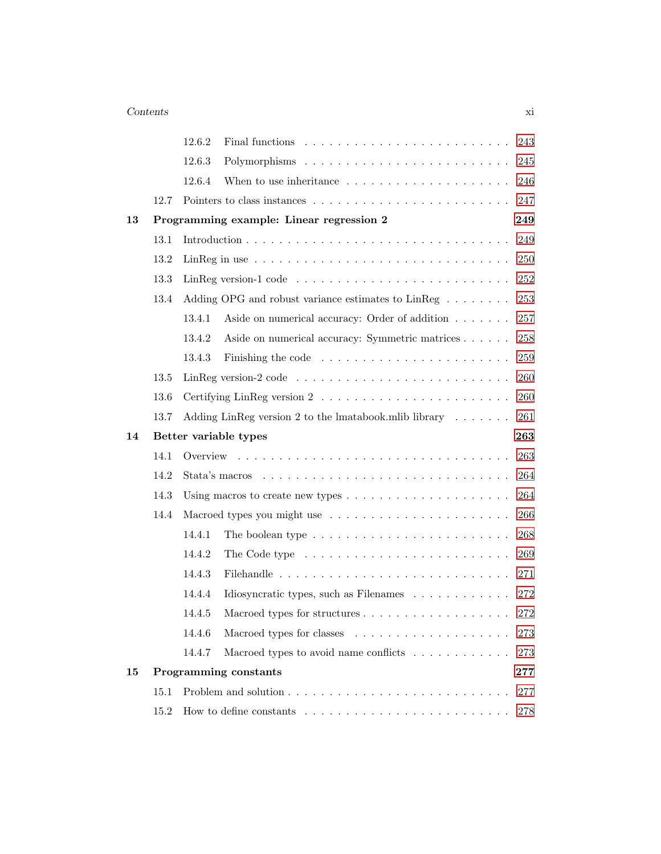|    |      | 12.6.2<br>243                                                                                     |
|----|------|---------------------------------------------------------------------------------------------------|
|    |      | 12.6.3<br>245                                                                                     |
|    |      | 246<br>12.6.4<br>When to use inheritance $\dots \dots \dots \dots \dots \dots \dots$              |
|    | 12.7 | 247                                                                                               |
| 13 |      | Programming example: Linear regression 2<br>249                                                   |
|    | 13.1 | 249                                                                                               |
|    | 13.2 | LinReg in use $\ldots \ldots \ldots \ldots \ldots \ldots \ldots \ldots \ldots \ldots$<br>250      |
|    | 13.3 | 252<br>$\text{LinReg version-1 code} \dots \dots \dots \dots \dots \dots \dots \dots \dots \dots$ |
|    | 13.4 | 253<br>Adding OPG and robust variance estimates to $\text{LinReg} \dots \dots$                    |
|    |      | 257<br>13.4.1<br>Aside on numerical accuracy: Order of addition                                   |
|    |      | 258<br>13.4.2<br>Aside on numerical accuracy: Symmetric matrices                                  |
|    |      | 259<br>13.4.3                                                                                     |
|    | 13.5 | $LinReg version-2 code \dots \dots \dots \dots \dots \dots \dots \dots \dots \dots$<br>260        |
|    | 13.6 | 260                                                                                               |
|    | 13.7 | 261<br>Adding LinReg version 2 to the lmatabook mlib library $\dots \dots$                        |
|    |      |                                                                                                   |
| 14 |      | 263<br>Better variable types                                                                      |
|    | 14.1 | 263                                                                                               |
|    | 14.2 | 264                                                                                               |
|    | 14.3 | 264<br>Using macros to create new types $\dots \dots \dots \dots \dots \dots \dots$               |
|    | 14.4 | 266<br>Macroed types you might use                                                                |
|    |      | 268<br>14.4.1                                                                                     |
|    |      | 14.4.2<br>269<br>The Code type $\dots \dots \dots \dots \dots \dots \dots \dots \dots \dots$      |
|    |      | 14.4.3<br>271                                                                                     |
|    |      | 14.4.4<br>Idiosyncratic types, such as Filenames<br>272                                           |
|    |      | 14.4.5<br>272                                                                                     |
|    |      | 14.4.6<br>273                                                                                     |
|    |      | Macroed types to avoid name conflicts $\ldots \ldots \ldots \ldots$<br>14.4.7<br>273              |
| 15 |      | Programming constants<br>277                                                                      |
|    | 15.1 | 277                                                                                               |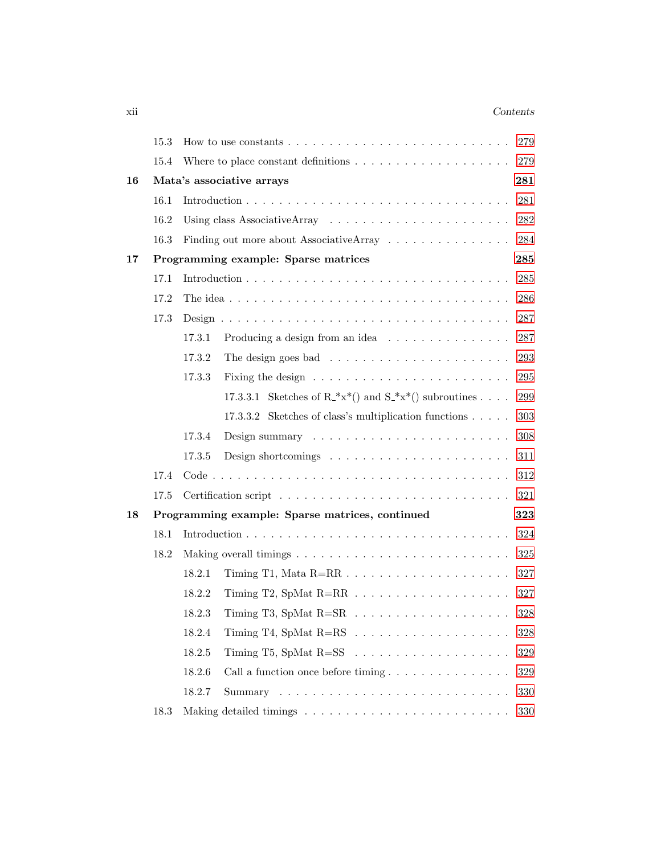#### xii Contents

|    | 15.3 | 279<br>How to use constants $\ldots \ldots \ldots \ldots \ldots \ldots \ldots \ldots \ldots$ |
|----|------|----------------------------------------------------------------------------------------------|
|    | 15.4 | Where to place constant definitions $\dots \dots \dots \dots \dots \dots \dots$<br>279       |
| 16 |      | Mata's associative arrays<br>281                                                             |
|    | 16.1 | 281                                                                                          |
|    | 16.2 | 282                                                                                          |
|    | 16.3 | Finding out more about AssociativeArray<br>284                                               |
| 17 |      | Programming example: Sparse matrices<br>285                                                  |
|    | 17.1 | 285                                                                                          |
|    | 17.2 | 286                                                                                          |
|    | 17.3 | 287<br>Design                                                                                |
|    |      | 287<br>17.3.1<br>Producing a design from an idea                                             |
|    |      | 17.3.2<br>The design goes bad $\ldots \ldots \ldots \ldots \ldots \ldots \ldots$<br>293      |
|    |      | 17.3.3<br>295<br>Fixing the design $\dots \dots \dots \dots \dots \dots \dots \dots \dots$   |
|    |      | 17.3.3.1 Sketches of $R_{*}^{*}x^{*}$ and $S_{*}^{*}x^{*}$ subroutines<br>299                |
|    |      | 17.3.3.2 Sketches of class's multiplication functions<br>303                                 |
|    |      | Design summary $\dots \dots \dots \dots \dots \dots \dots \dots$<br>308<br>17.3.4            |
|    |      | 311<br>17.3.5                                                                                |
|    | 17.4 | 312                                                                                          |
|    | 17.5 | 321                                                                                          |
| 18 |      | Programming example: Sparse matrices, continued<br>323                                       |
|    | 18.1 | 324                                                                                          |
|    | 18.2 | $325\,$                                                                                      |
|    |      | Timing T1, Mata $R=RR \ldots \ldots \ldots \ldots \ldots \ldots \ldots$<br>18.2.1<br>327     |
|    |      | 18.2.2<br>327                                                                                |
|    |      | 18.2.3<br>Timing T3, SpMat $R = SR \ldots \ldots \ldots \ldots \ldots \ldots$<br>328         |
|    |      | 18.2.4<br>328                                                                                |
|    |      | 18.2.5<br>Timing T5, SpMat $R = SS \dots \dots \dots \dots \dots \dots \dots$<br>329         |
|    |      | 18.2.6<br>Call a function once before timing $\ldots \ldots \ldots \ldots \ldots$<br>329     |
|    |      | 18.2.7<br>330                                                                                |
|    | 18.3 | 330                                                                                          |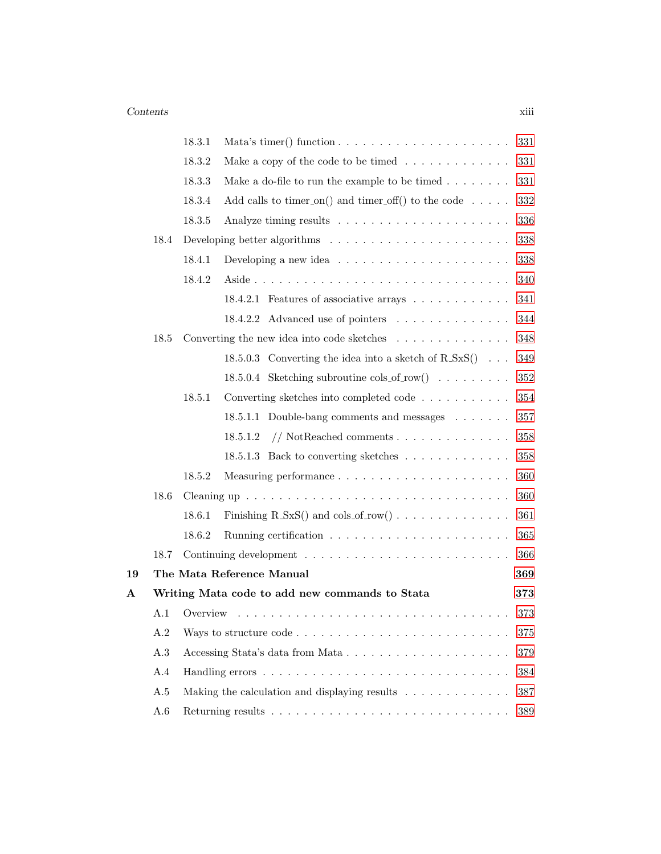|    |      | 18.3.1 | Mata's timer() function $\ldots \ldots \ldots \ldots \ldots \ldots \ldots$      | 331     |
|----|------|--------|---------------------------------------------------------------------------------|---------|
|    |      | 18.3.2 | Make a copy of the code to be timed $\ldots \ldots \ldots \ldots$               | $331\,$ |
|    |      | 18.3.3 | Make a do-file to run the example to be timed $\dots \dots$                     | 331     |
|    |      | 18.3.4 | Add calls to timer_on() and timer_off() to the code $\dots$ .                   | $332\,$ |
|    |      | 18.3.5 |                                                                                 | 336     |
|    | 18.4 |        | Developing better algorithms $\ldots \ldots \ldots \ldots \ldots \ldots \ldots$ | 338     |
|    |      | 18.4.1 |                                                                                 | 338     |
|    |      | 18.4.2 |                                                                                 | 340     |
|    |      |        | 18.4.2.1 Features of associative arrays                                         | 341     |
|    |      |        | 18.4.2.2 Advanced use of pointers                                               | 344     |
|    | 18.5 |        | Converting the new idea into code sketches $\ldots \ldots \ldots \ldots$        | 348     |
|    |      |        | 18.5.0.3 Converting the idea into a sketch of $R_S xS() \dots$                  | 349     |
|    |      |        | $18.5.0.4$ Sketching subroutine cols_of_row()                                   | 352     |
|    |      | 18.5.1 | Converting sketches into completed code                                         | 354     |
|    |      |        | 18.5.1.1 Double-bang comments and messages                                      | 357     |
|    |      |        | // NotReached comments<br>18.5.1.2                                              | 358     |
|    |      |        | 18.5.1.3 Back to converting sketches                                            | 358     |
|    |      | 18.5.2 | Measuring performance                                                           | 360     |
|    | 18.6 |        |                                                                                 | 360     |
|    |      | 18.6.1 | Finishing R_SxS() and cols_of_row() $\dots \dots \dots \dots \dots$             | 361     |
|    |      | 18.6.2 |                                                                                 | 365     |
|    | 18.7 |        |                                                                                 | 366     |
| 19 |      |        | The Mata Reference Manual                                                       | 369     |
| A  |      |        | Writing Mata code to add new commands to Stata                                  | 373     |
|    |      |        |                                                                                 | 373     |
|    | A.2  |        |                                                                                 | 375     |
|    | A.3  |        | Accessing Stata's data from Mata                                                | 379     |
|    | A.4  |        |                                                                                 | 384     |
|    | A.5  |        | Making the calculation and displaying results $\ldots \ldots \ldots \ldots$     | 387     |
|    | A.6  |        |                                                                                 | 389     |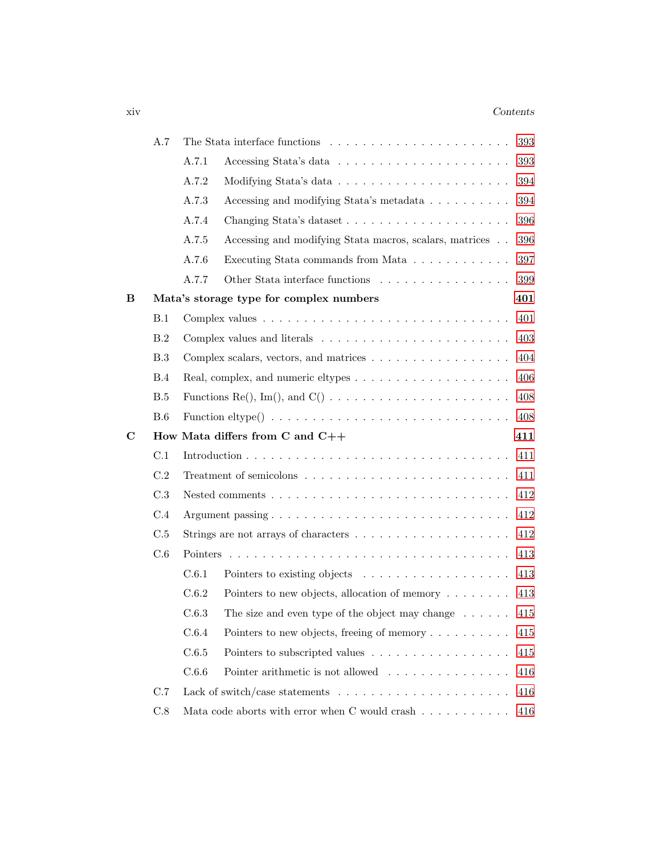#### xiv Contents

|             | A.7 | 393                                                                                        |
|-------------|-----|--------------------------------------------------------------------------------------------|
|             |     | A.7.1<br>393                                                                               |
|             |     | A.7.2<br>394                                                                               |
|             |     | A.7.3<br>394<br>Accessing and modifying Stata's metadata                                   |
|             |     | A.7.4<br>396                                                                               |
|             |     | A.7.5<br>Accessing and modifying Stata macros, scalars, matrices<br>396                    |
|             |     | A.7.6<br>Executing Stata commands from Mata<br>397                                         |
|             |     | Other Stata interface functions<br>A.7.7<br>399                                            |
| $\bf{B}$    |     | Mata's storage type for complex numbers<br>401                                             |
|             | B.1 | 401                                                                                        |
|             | B.2 | 403                                                                                        |
|             | B.3 | Complex scalars, vectors, and matrices $\dots \dots \dots \dots \dots \dots$<br>404        |
|             | B.4 | 406                                                                                        |
|             | B.5 | 408                                                                                        |
|             | B.6 | Function eltype $() \ldots \ldots \ldots \ldots \ldots \ldots \ldots \ldots \ldots$<br>408 |
| $\mathbf C$ |     | How Mata differs from C and $C++$<br>411                                                   |
|             | C.1 | 411                                                                                        |
|             | C.2 |                                                                                            |
|             |     | 411                                                                                        |
|             | C.3 | 412                                                                                        |
|             | C.4 | 412                                                                                        |
|             | C.5 | 412                                                                                        |
|             | C.6 | 413                                                                                        |
|             |     | C.6.1<br>413                                                                               |
|             |     | C.6.2<br>Pointers to new objects, allocation of memory $\dots \dots$<br>413                |
|             |     | C.6.3<br>The size and even type of the object may change $\dots \dots$<br>415              |
|             |     | C.6.4<br>Pointers to new objects, freeing of memory<br>415                                 |
|             |     | $\rm C.6.5$<br>Pointers to subscripted values<br>415                                       |
|             |     | C.6.6<br>Pointer arithmetic is not allowed<br>416                                          |
|             | C.7 | Lack of switch/case statements $\ldots \ldots \ldots \ldots \ldots \ldots \ldots$<br>416   |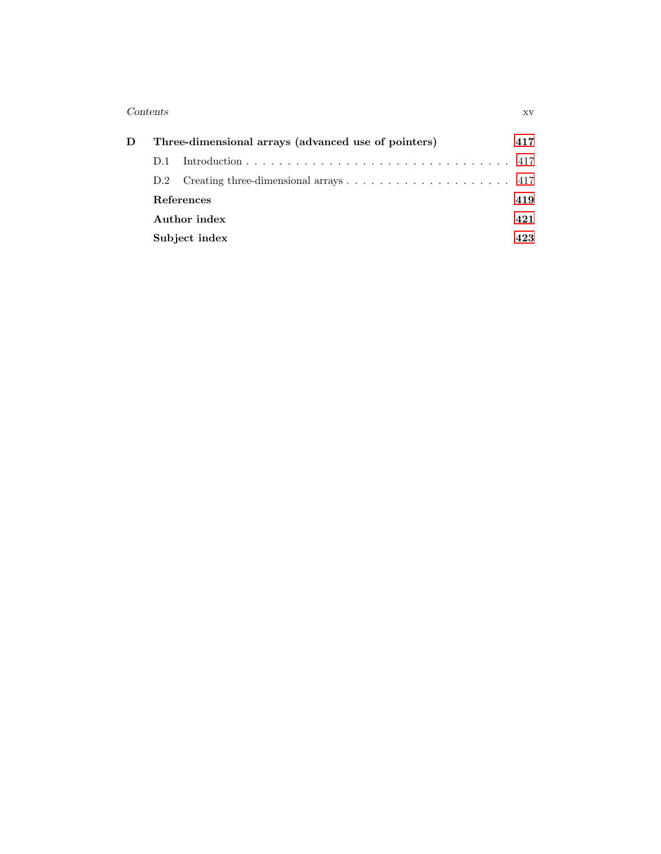| Contents | XV |
|----------|----|
|          |    |

| D | Three-dimensional arrays (advanced use of pointers) |               |     |  |  |  |  |  |
|---|-----------------------------------------------------|---------------|-----|--|--|--|--|--|
|   | 12.1                                                |               |     |  |  |  |  |  |
|   | 12.2                                                |               |     |  |  |  |  |  |
|   | References                                          |               |     |  |  |  |  |  |
|   |                                                     | Author index  | 421 |  |  |  |  |  |
|   |                                                     | Subject index | 123 |  |  |  |  |  |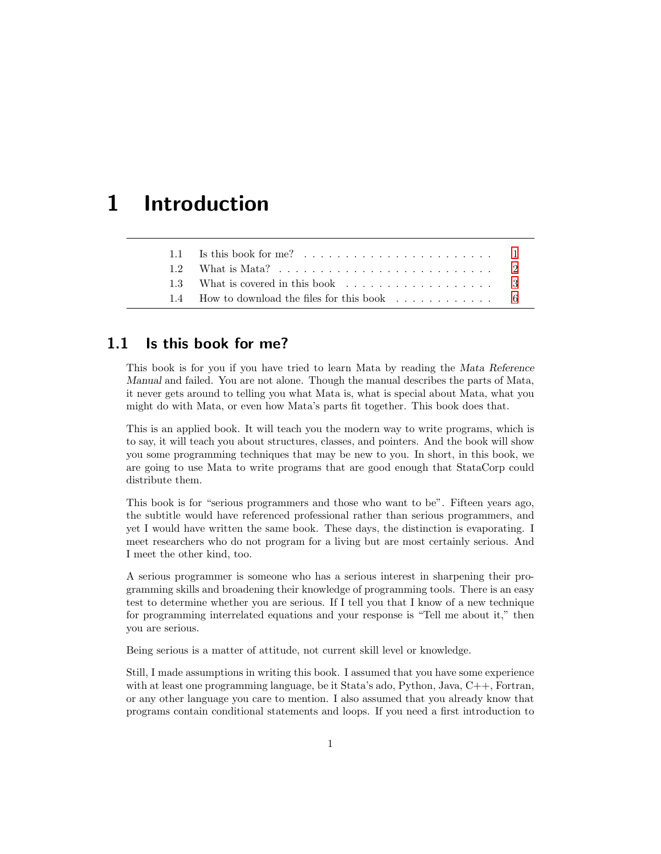## 1 Introduction

### 1.1 Is this book for me?

This book is for you if you have tried to learn Mata by reading the Mata Reference Manual and failed. You are not alone. Though the manual describes the parts of Mata, it never gets around to telling you what Mata is, what is special about Mata, what you might do with Mata, or even how Mata's parts fit together. This book does that.

This is an applied book. It will teach you the modern way to write programs, which is to say, it will teach you about structures, classes, and pointers. And the book will show you some programming techniques that may be new to you. In short, in this book, we are going to use Mata to write programs that are good enough that StataCorp could distribute them.

This book is for "serious programmers and those who want to be". Fifteen years ago, the subtitle would have referenced professional rather than serious programmers, and yet I would have written the same book. These days, the distinction is evaporating. I meet researchers who do not program for a living but are most certainly serious. And I meet the other kind, too.

A serious programmer is someone who has a serious interest in sharpening their programming skills and broadening their knowledge of programming tools. There is an easy test to determine whether you are serious. If I tell you that I know of a new technique for programming interrelated equations and your response is "Tell me about it," then you are serious.

Being serious is a matter of attitude, not current skill level or knowledge.

Still, I made assumptions in writing this book. I assumed that you have some experience with at least one programming language, be it Stata's ado, Python, Java, C++, Fortran, or any other language you care to mention. I also assumed that you already know that programs contain conditional statements and loops. If you need a first introduction to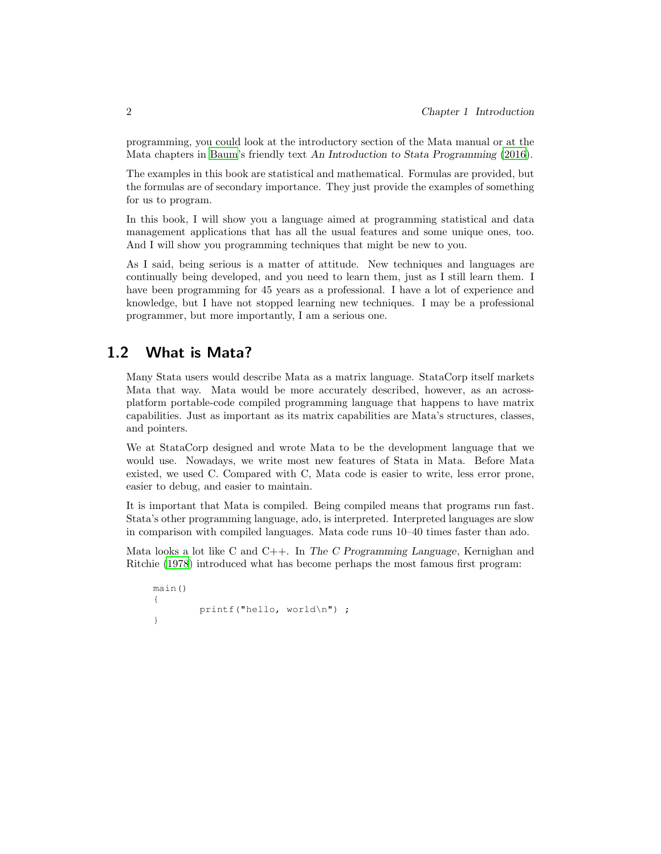programming, you could look at the introductory section of the Mata manual or at the Mata chapters in Baum's friendly text An Introduction to Stata Programming (2016).

The examples in this book are statistical and mathematical. Formulas are provided, but the formulas are of secondary importance. They just provide the examples of something for us to program.

In this book, I will show you a language aimed at programming statistical and data management applications that has all the usual features and some unique ones, too. And I will show you programming techniques that might be new to you.

As I said, being serious is a matter of attitude. New techniques and languages are continually being developed, and you need to learn them, just as I still learn them. I have been programming for 45 years as a professional. I have a lot of experience and knowledge, but I have not stopped learning new techniques. I may be a professional programmer, but more importantly, I am a serious one.

## 1.2 What is Mata?

Many Stata users would describe Mata as a matrix language. StataCorp itself markets Mata that way. Mata would be more accurately described, however, as an acrossplatform portable-code compiled programming language that happens to have matrix capabilities. Just as important as its matrix capabilities are Mata's structures, classes, and pointers.

We at StataCorp designed and wrote Mata to be the development language that we would use. Nowadays, we write most new features of Stata in Mata. Before Mata existed, we used C. Compared with C, Mata code is easier to write, less error prone, easier to debug, and easier to maintain.

It is important that Mata is compiled. Being compiled means that programs run fast. Stata's other programming language, ado, is interpreted. Interpreted languages are slow in comparison with compiled languages. Mata code runs 10–40 times faster than ado.

Mata looks a lot like C and  $C_{++}$ . In The C Programming Language, Kernighan and Ritchie (1978) introduced what has become perhaps the most famous first program:

```
main()
{
        printf("hello, world\n") ;
}
```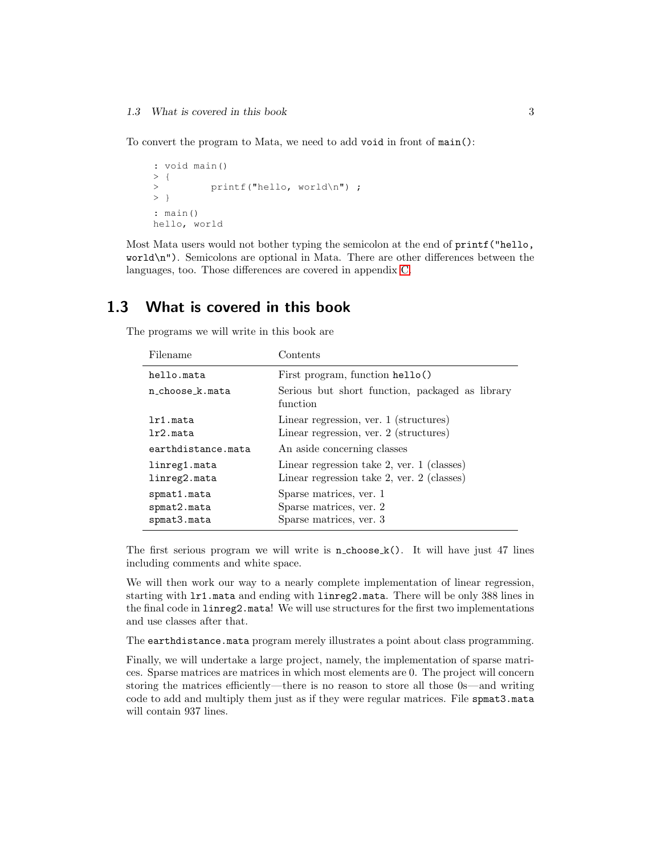To convert the program to Mata, we need to add void in front of main():

```
: void main()
> {
> printf("hello, world\n") ;
> }
: main()
hello, world
```
Most Mata users would not bother typing the semicolon at the end of printf("hello, world\n"). Semicolons are optional in Mata. There are other differences between the languages, too. Those differences are covered in appendix C.

### 1.3 What is covered in this book

The programs we will write in this book are

| Filename                                  | $\rm{Contents}$                                                                                 |
|-------------------------------------------|-------------------------------------------------------------------------------------------------|
| hello.mata                                | First program, function hello()                                                                 |
| n choose k.mata                           | Serious but short function, packaged as library<br>function                                     |
| $l$ r1.mata<br>lr2.mata                   | Linear regression, ver. 1 (structures)<br>Linear regression, ver. 2 (structures)                |
| earthdistance.mata                        | An aside concerning classes                                                                     |
| linreg1.mata<br>linreg2.mata              | Linear regression take 2, ver. $1$ (classes)<br>Linear regression take $2$ , ver. $2$ (classes) |
| spmat1.mata<br>spmat2.mata<br>spmat3.mata | Sparse matrices, ver. 1<br>Sparse matrices, ver. 2<br>Sparse matrices, ver. 3                   |

The first serious program we will write is  $n\text{-choose-k}()$ . It will have just 47 lines including comments and white space.

We will then work our way to a nearly complete implementation of linear regression, starting with lr1.mata and ending with linreg2.mata. There will be only 388 lines in the final code in linreg2.mata! We will use structures for the first two implementations and use classes after that.

The earthdistance.mata program merely illustrates a point about class programming.

Finally, we will undertake a large project, namely, the implementation of sparse matrices. Sparse matrices are matrices in which most elements are 0. The project will concern storing the matrices efficiently—there is no reason to store all those 0s—and writing code to add and multiply them just as if they were regular matrices. File spmat3.mata will contain 937 lines.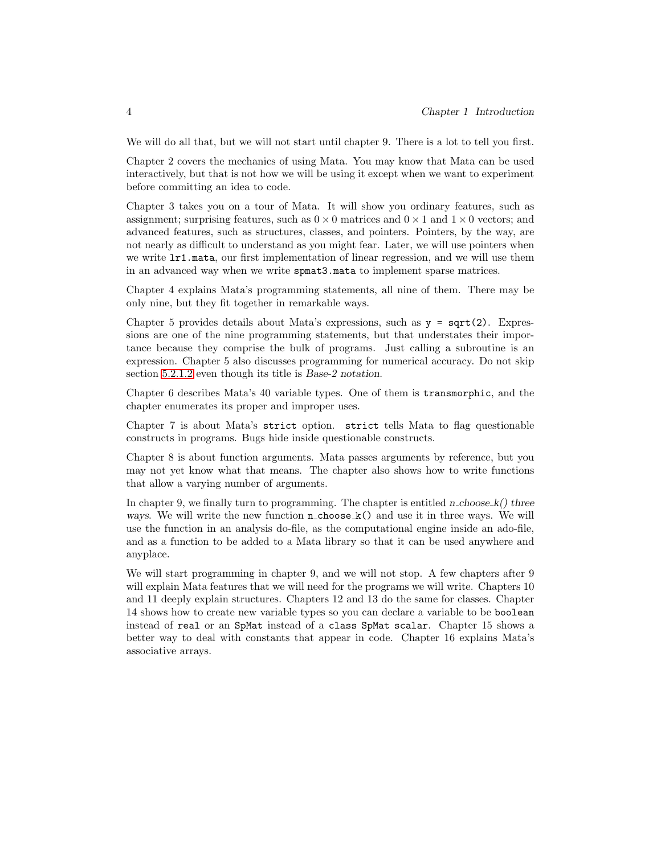We will do all that, but we will not start until chapter 9. There is a lot to tell you first.

Chapter 2 covers the mechanics of using Mata. You may know that Mata can be used interactively, but that is not how we will be using it except when we want to experiment before committing an idea to code.

Chapter 3 takes you on a tour of Mata. It will show you ordinary features, such as assignment; surprising features, such as  $0 \times 0$  matrices and  $0 \times 1$  and  $1 \times 0$  vectors; and advanced features, such as structures, classes, and pointers. Pointers, by the way, are not nearly as difficult to understand as you might fear. Later, we will use pointers when we write lr1.mata, our first implementation of linear regression, and we will use them in an advanced way when we write spmat3.mata to implement sparse matrices.

Chapter 4 explains Mata's programming statements, all nine of them. There may be only nine, but they fit together in remarkable ways.

Chapter 5 provides details about Mata's expressions, such as  $y = \text{sqrt}(2)$ . Expressions are one of the nine programming statements, but that understates their importance because they comprise the bulk of programs. Just calling a subroutine is an expression. Chapter 5 also discusses programming for numerical accuracy. Do not skip section 5.2.1.2 even though its title is Base-2 notation.

Chapter 6 describes Mata's 40 variable types. One of them is transmorphic, and the chapter enumerates its proper and improper uses.

Chapter 7 is about Mata's strict option. strict tells Mata to flag questionable constructs in programs. Bugs hide inside questionable constructs.

Chapter 8 is about function arguments. Mata passes arguments by reference, but you may not yet know what that means. The chapter also shows how to write functions that allow a varying number of arguments.

In chapter 9, we finally turn to programming. The chapter is entitled n choose  $k()$  three ways. We will write the new function  $n\text{-choose-k}()$  and use it in three ways. We will use the function in an analysis do-file, as the computational engine inside an ado-file, and as a function to be added to a Mata library so that it can be used anywhere and anyplace.

We will start programming in chapter 9, and we will not stop. A few chapters after 9 will explain Mata features that we will need for the programs we will write. Chapters 10 and 11 deeply explain structures. Chapters 12 and 13 do the same for classes. Chapter 14 shows how to create new variable types so you can declare a variable to be boolean instead of real or an SpMat instead of a class SpMat scalar. Chapter 15 shows a better way to deal with constants that appear in code. Chapter 16 explains Mata's associative arrays.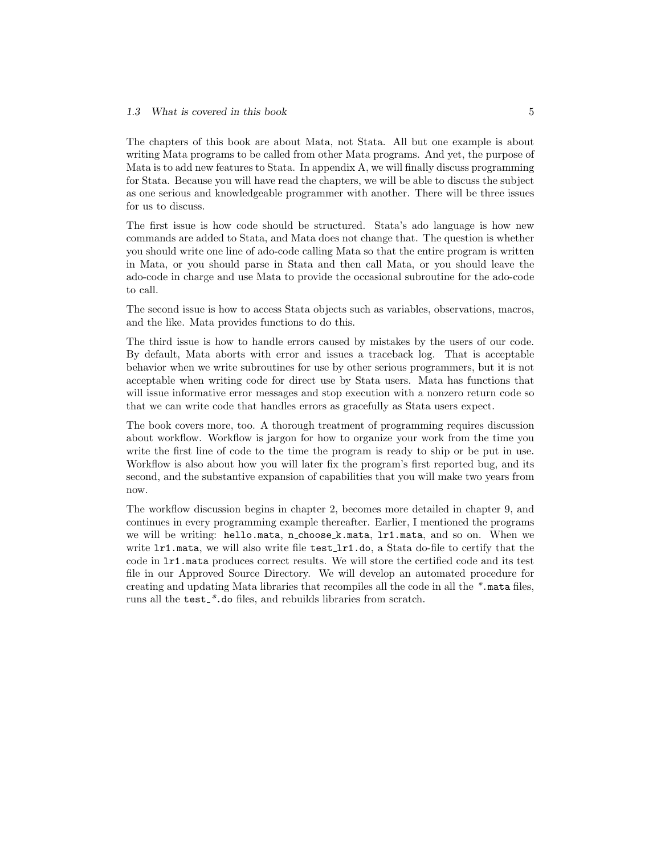#### $1.3$  What is covered in this book  $5$

The chapters of this book are about Mata, not Stata. All but one example is about writing Mata programs to be called from other Mata programs. And yet, the purpose of Mata is to add new features to Stata. In appendix A, we will finally discuss programming for Stata. Because you will have read the chapters, we will be able to discuss the subject as one serious and knowledgeable programmer with another. There will be three issues for us to discuss.

The first issue is how code should be structured. Stata's ado language is how new commands are added to Stata, and Mata does not change that. The question is whether you should write one line of ado-code calling Mata so that the entire program is written in Mata, or you should parse in Stata and then call Mata, or you should leave the ado-code in charge and use Mata to provide the occasional subroutine for the ado-code to call.

The second issue is how to access Stata objects such as variables, observations, macros, and the like. Mata provides functions to do this.

The third issue is how to handle errors caused by mistakes by the users of our code. By default, Mata aborts with error and issues a traceback log. That is acceptable behavior when we write subroutines for use by other serious programmers, but it is not acceptable when writing code for direct use by Stata users. Mata has functions that will issue informative error messages and stop execution with a nonzero return code so that we can write code that handles errors as gracefully as Stata users expect.

The book covers more, too. A thorough treatment of programming requires discussion about workflow. Workflow is jargon for how to organize your work from the time you write the first line of code to the time the program is ready to ship or be put in use. Workflow is also about how you will later fix the program's first reported bug, and its second, and the substantive expansion of capabilities that you will make two years from now.

The workflow discussion begins in chapter 2, becomes more detailed in chapter 9, and continues in every programming example thereafter. Earlier, I mentioned the programs we will be writing: hello.mata, n\_choose\_k.mata, lr1.mata, and so on. When we write lr1.mata, we will also write file test  $\text{ln1.do}$ , a Stata do-file to certify that the code in lr1.mata produces correct results. We will store the certified code and its test file in our Approved Source Directory. We will develop an automated procedure for creating and updating Mata libraries that recompiles all the code in all the \*.mata files, runs all the test<sub>-</sub>\*.do files, and rebuilds libraries from scratch.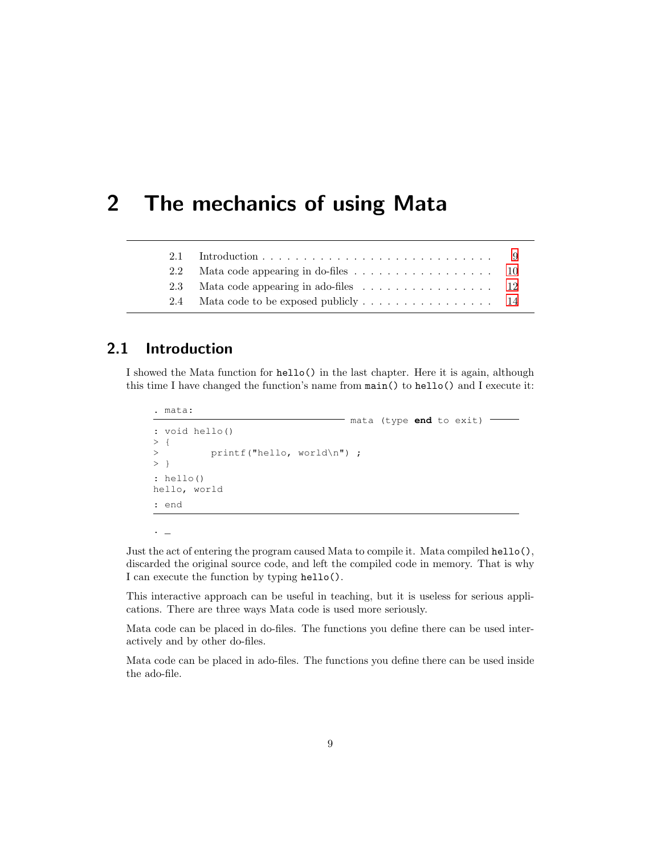## 2 The mechanics of using Mata

| 2.2 Mata code appearing in do-files $\ldots \ldots \ldots \ldots \ldots \ldots$ 10 |  |
|------------------------------------------------------------------------------------|--|
| 2.3 Mata code appearing in ado-files $\ldots \ldots \ldots \ldots \ldots$ 12       |  |
| 2.4 Mata code to be exposed publicly 14                                            |  |

## 2.1 Introduction

I showed the Mata function for hello() in the last chapter. Here it is again, although this time I have changed the function's name from main() to hello() and I execute it:

```
. mata:
                                - mata (type end to exit) -
: void hello()
> {
> printf("hello, world\n") ;
> }
: hello()
hello, world
: end
```
 $\ddot{\phantom{0}}$ .

Just the act of entering the program caused Mata to compile it. Mata compiled hello(), discarded the original source code, and left the compiled code in memory. That is why I can execute the function by typing hello().

This interactive approach can be useful in teaching, but it is useless for serious applications. There are three ways Mata code is used more seriously.

Mata code can be placed in do-files. The functions you define there can be used interactively and by other do-files.

Mata code can be placed in ado-files. The functions you define there can be used inside the ado-file.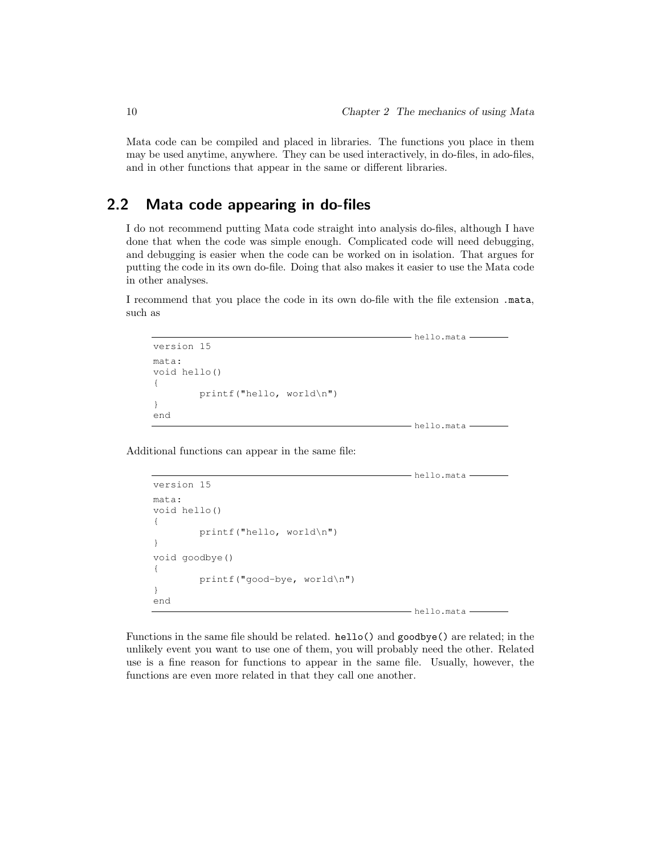Mata code can be compiled and placed in libraries. The functions you place in them may be used anytime, anywhere. They can be used interactively, in do-files, in ado-files, and in other functions that appear in the same or different libraries.

## 2.2 Mata code appearing in do-files

I do not recommend putting Mata code straight into analysis do-files, although I have done that when the code was simple enough. Complicated code will need debugging, and debugging is easier when the code can be worked on in isolation. That argues for putting the code in its own do-file. Doing that also makes it easier to use the Mata code in other analyses.

I recommend that you place the code in its own do-file with the file extension .mata, such as

```
version 15
mata:
void hello()
{
        printf("hello, world\n")
}
end
```
- hello.mata

 $-$ hello.mata $-$ 

Additional functions can appear in the same file:

```
- hello.mata-
version 15
mata:
void hello()
{
        printf("hello, world\n")
}
void goodbye()
{
        printf("good-bye, world\n")
}
end
                                                - hello.mata -
```
Functions in the same file should be related. hello() and goodbye() are related; in the unlikely event you want to use one of them, you will probably need the other. Related use is a fine reason for functions to appear in the same file. Usually, however, the functions are even more related in that they call one another.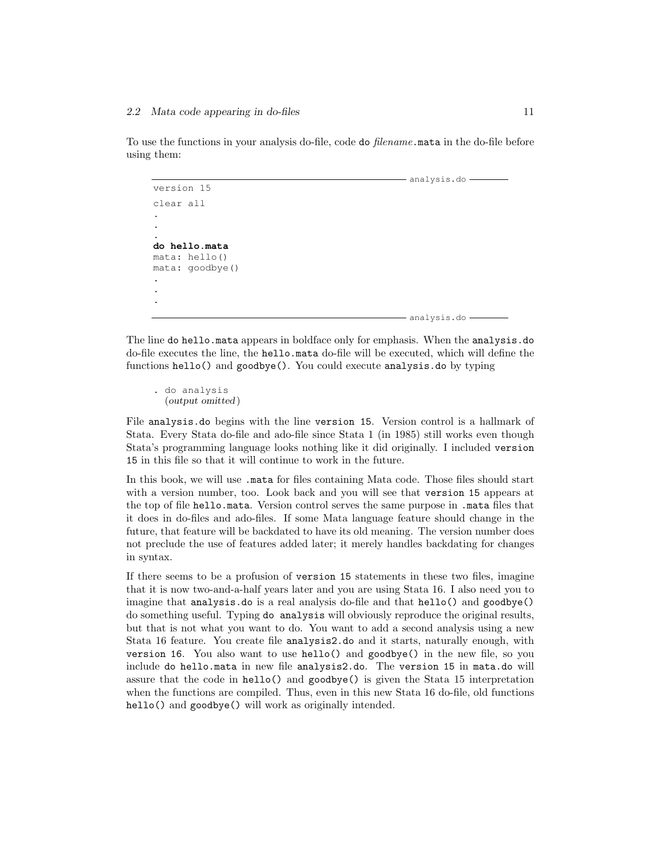To use the functions in your analysis do-file, code do *filename*. mata in the do-file before using them:

```
- analysis.do -
version 15
clear all
.
.
.
do hello.mata
mata: hello()
mata: goodbye()
.
.
.
                                                   - analysis.do -
```
The line do hello.mata appears in boldface only for emphasis. When the analysis.do do-file executes the line, the hello.mata do-file will be executed, which will define the functions hello() and goodbye(). You could execute analysis.do by typing

. do analysis (output omitted )

File analysis.do begins with the line version 15. Version control is a hallmark of Stata. Every Stata do-file and ado-file since Stata 1 (in 1985) still works even though Stata's programming language looks nothing like it did originally. I included version 15 in this file so that it will continue to work in the future.

In this book, we will use .mata for files containing Mata code. Those files should start with a version number, too. Look back and you will see that version 15 appears at the top of file hello.mata. Version control serves the same purpose in .mata files that it does in do-files and ado-files. If some Mata language feature should change in the future, that feature will be backdated to have its old meaning. The version number does not preclude the use of features added later; it merely handles backdating for changes in syntax.

If there seems to be a profusion of version 15 statements in these two files, imagine that it is now two-and-a-half years later and you are using Stata 16. I also need you to imagine that analysis.do is a real analysis do-file and that hello() and goodbye() do something useful. Typing do analysis will obviously reproduce the original results, but that is not what you want to do. You want to add a second analysis using a new Stata 16 feature. You create file analysis2.do and it starts, naturally enough, with version 16. You also want to use hello() and goodbye() in the new file, so you include do hello.mata in new file analysis2.do. The version 15 in mata.do will assure that the code in hello() and goodbye() is given the Stata 15 interpretation when the functions are compiled. Thus, even in this new Stata 16 do-file, old functions hello() and goodbye() will work as originally intended.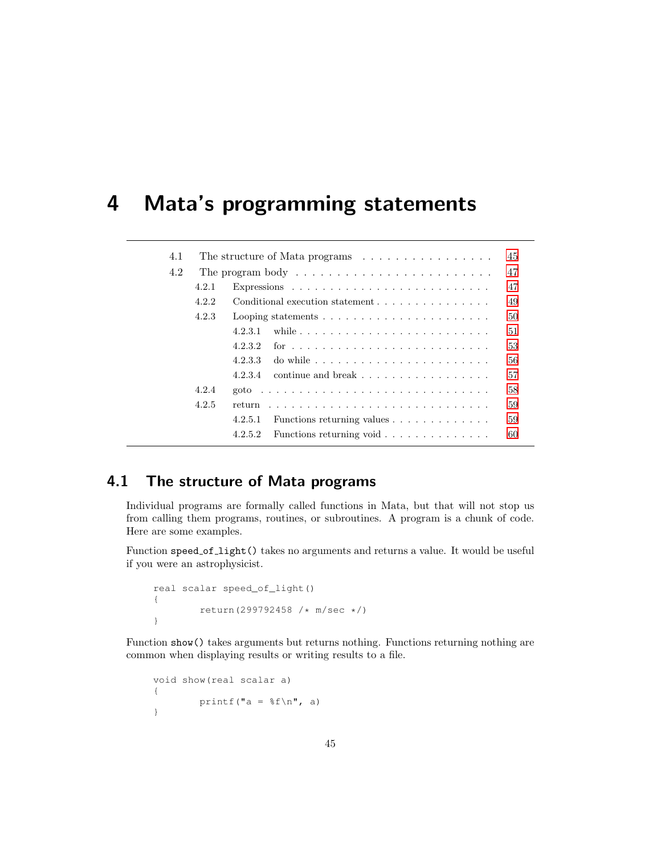## 4 Mata's programming statements

| 4.1 |                                                                          | The structure of Mata programs                                           | 45 |  |
|-----|--------------------------------------------------------------------------|--------------------------------------------------------------------------|----|--|
| 4.2 | The program body $\dots \dots \dots \dots \dots \dots \dots \dots \dots$ |                                                                          |    |  |
|     | 4.2.1                                                                    |                                                                          | 47 |  |
|     | 4.2.2                                                                    | Conditional execution statement                                          | 49 |  |
|     | 4.2.3                                                                    |                                                                          | 50 |  |
|     |                                                                          | 4.2.3.1                                                                  | 51 |  |
|     |                                                                          |                                                                          | 53 |  |
|     |                                                                          | do while $\ldots \ldots \ldots \ldots \ldots \ldots \ldots$<br>4.2.3.3   | 56 |  |
|     |                                                                          | continue and break $\ldots$ , $\ldots$ , $\ldots$<br>4.2.3.4             | 57 |  |
|     | 4.2.4                                                                    |                                                                          | 58 |  |
|     | 4.2.5                                                                    |                                                                          | 59 |  |
|     |                                                                          | Functions returning values $\ldots \ldots \ldots \ldots$<br>4.2.5.1      | 59 |  |
|     |                                                                          | Functions returning void $\ldots \ldots \ldots \ldots \ldots$<br>4.2.5.2 | 60 |  |

## 4.1 The structure of Mata programs

Individual programs are formally called functions in Mata, but that will not stop us from calling them programs, routines, or subroutines. A program is a chunk of code. Here are some examples.

Function speed of light() takes no arguments and returns a value. It would be useful if you were an astrophysicist.

```
real scalar speed_of_light()
{
        return(299792458 /* m/sec */)
}
```
Function show() takes arguments but returns nothing. Functions returning nothing are common when displaying results or writing results to a file.

```
void show(real scalar a)
{
         printf("a = f(\nmid \mathbf{a})}
```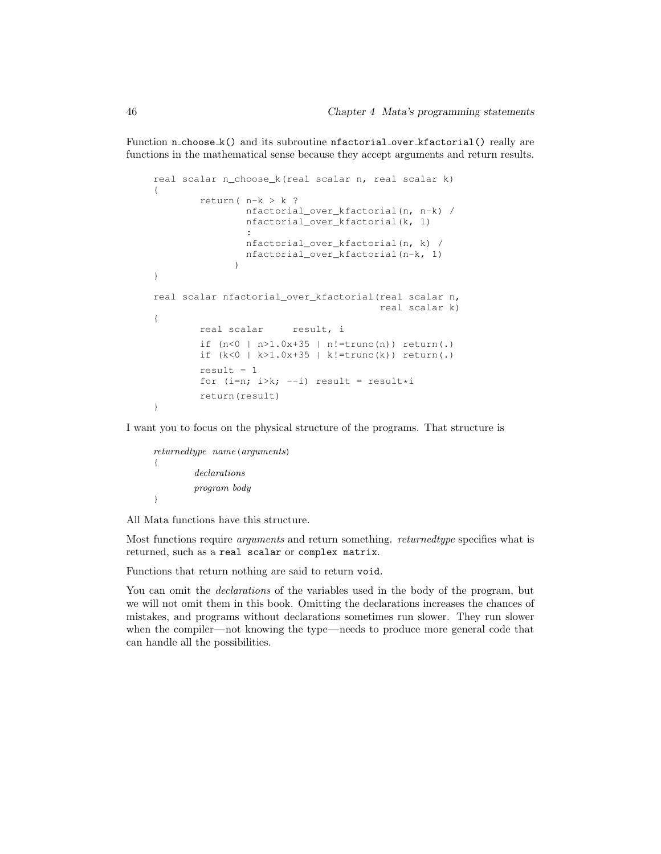Function  $n$ -choose  $k()$  and its subroutine  $nfactual$ -over  $kfactorial()$  really are functions in the mathematical sense because they accept arguments and return results.

```
real scalar n_choose_k(real scalar n, real scalar k)
{
        return( n-k > k ?
                 nfactorial_over_kfactorial(n, n-k) /
                 nfactorial_over_kfactorial(k, 1)
                 :
                 nfactorial_over_kfactorial(n, k) /
                 nfactorial_over_kfactorial(n-k, 1)
               )
}
real scalar nfactorial_over_kfactorial(real scalar n,
                                         real scalar k)
{
        real scalar result, i
        if (n < 0 | n > 1.0x + 35 | n! = \text{trunc}(n)) \text{ return}(.)if (k<0 | k>1.0x+35 | k!=trunc(k)) return(.)
        result = 1for (i=n; i\geq k; -i) result = result*i
        return(result)
}
```
I want you to focus on the physical structure of the programs. That structure is

returnedtype name(arguments) { declarations program body }

All Mata functions have this structure.

Most functions require arguments and return something. returnedtype specifies what is returned, such as a real scalar or complex matrix.

Functions that return nothing are said to return void.

You can omit the *declarations* of the variables used in the body of the program, but we will not omit them in this book. Omitting the declarations increases the chances of mistakes, and programs without declarations sometimes run slower. They run slower when the compiler—not knowing the type—needs to produce more general code that can handle all the possibilities.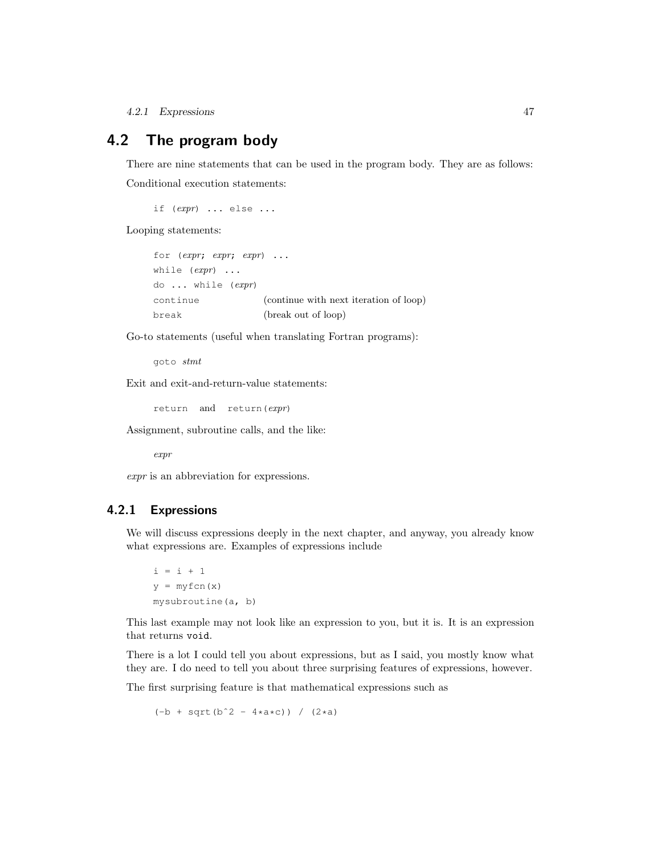### 4.2 The program body

There are nine statements that can be used in the program body. They are as follows: Conditional execution statements:

if (expr) ... else ...

Looping statements:

```
for \text{expr}; \text{expr}; \text{expr}) \dotswhile (expr) ...
do ... while (expr)
continue (continue with next iteration of loop)
break (break out of loop)
```
Go-to statements (useful when translating Fortran programs):

goto stmt

Exit and exit-and-return-value statements:

return and return(expr)

Assignment, subroutine calls, and the like:

expr

expr is an abbreviation for expressions.

### 4.2.1 Expressions

We will discuss expressions deeply in the next chapter, and anyway, you already know what expressions are. Examples of expressions include

 $i = i + 1$  $y = myfcn(x)$ mysubroutine(a, b)

This last example may not look like an expression to you, but it is. It is an expression that returns void.

There is a lot I could tell you about expressions, but as I said, you mostly know what they are. I do need to tell you about three surprising features of expressions, however.

The first surprising feature is that mathematical expressions such as

 $(-b + sqrt(b^2 - 4*axc)) / (2*a)$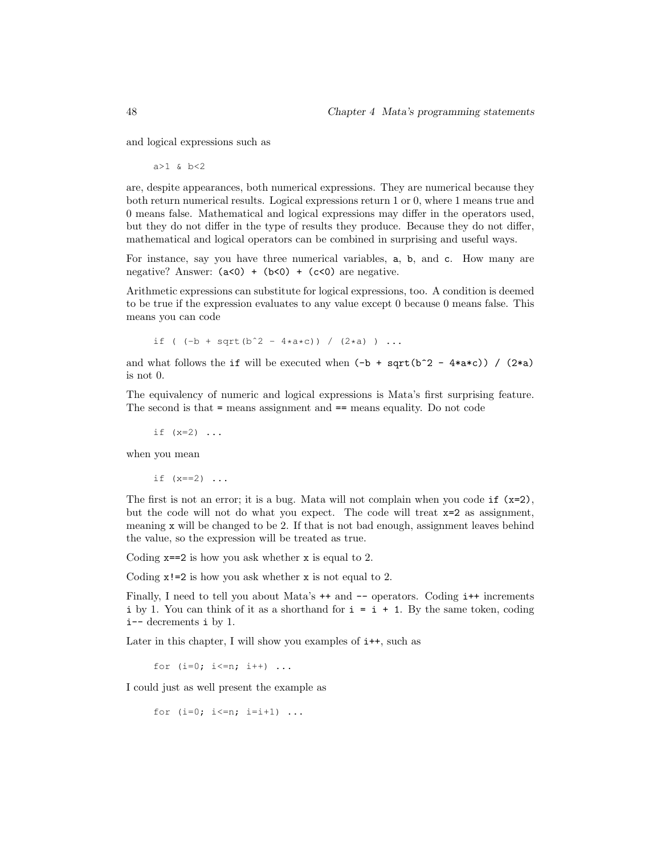and logical expressions such as

a>1 & b<2

are, despite appearances, both numerical expressions. They are numerical because they both return numerical results. Logical expressions return 1 or 0, where 1 means true and 0 means false. Mathematical and logical expressions may differ in the operators used, but they do not differ in the type of results they produce. Because they do not differ, mathematical and logical operators can be combined in surprising and useful ways.

For instance, say you have three numerical variables, a, b, and c. How many are negative? Answer:  $(a<0) + (b<0) + (c<0)$  are negative.

Arithmetic expressions can substitute for logical expressions, too. A condition is deemed to be true if the expression evaluates to any value except 0 because 0 means false. This means you can code

if (  $(-b + sqrt(b^2 - 4*ax)) / (2*a)$  ) ...

and what follows the if will be executed when  $(-b + sqrt(b^2 - 4*ax)) / (2*a)$ is not 0.

The equivalency of numeric and logical expressions is Mata's first surprising feature. The second is that = means assignment and == means equality. Do not code

if  $(x=2)$  ...

when you mean

if  $(x==2)$  ...

The first is not an error; it is a bug. Mata will not complain when you code if  $(x=2)$ , but the code will not do what you expect. The code will treat x=2 as assignment, meaning x will be changed to be 2. If that is not bad enough, assignment leaves behind the value, so the expression will be treated as true.

Coding  $x == 2$  is how you ask whether x is equal to 2.

Coding  $x!=2$  is how you ask whether x is not equal to 2.

Finally, I need to tell you about Mata's ++ and -- operators. Coding i++ increments i by 1. You can think of it as a shorthand for  $i = i + 1$ . By the same token, coding i-- decrements i by 1.

Later in this chapter, I will show you examples of  $i$ ++, such as

for  $(i=0; i<=n; i++)$  ...

I could just as well present the example as

for  $(i=0; i<=n; i=i+1)$  ...